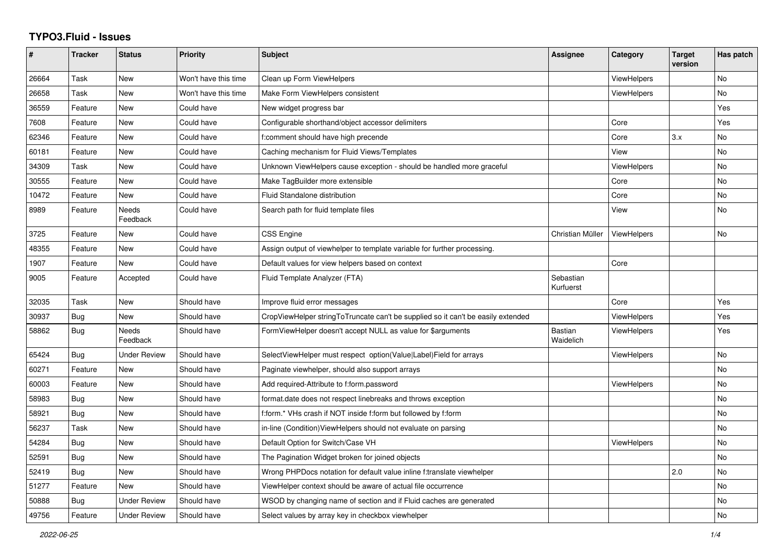## **TYPO3.Fluid - Issues**

| #     | <b>Tracker</b> | <b>Status</b>            | <b>Priority</b>      | <b>Subject</b>                                                                   | <b>Assignee</b>             | Category           | <b>Target</b><br>version | Has patch |
|-------|----------------|--------------------------|----------------------|----------------------------------------------------------------------------------|-----------------------------|--------------------|--------------------------|-----------|
| 26664 | Task           | New                      | Won't have this time | Clean up Form ViewHelpers                                                        |                             | <b>ViewHelpers</b> |                          | No        |
| 26658 | Task           | <b>New</b>               | Won't have this time | Make Form ViewHelpers consistent                                                 |                             | <b>ViewHelpers</b> |                          | No        |
| 36559 | Feature        | <b>New</b>               | Could have           | New widget progress bar                                                          |                             |                    |                          | Yes       |
| 7608  | Feature        | <b>New</b>               | Could have           | Configurable shorthand/object accessor delimiters                                |                             | Core               |                          | Yes       |
| 62346 | Feature        | New                      | Could have           | f:comment should have high precende                                              |                             | Core               | 3.x                      | No        |
| 60181 | Feature        | <b>New</b>               | Could have           | Caching mechanism for Fluid Views/Templates                                      |                             | View               |                          | No        |
| 34309 | Task           | New                      | Could have           | Unknown ViewHelpers cause exception - should be handled more graceful            |                             | <b>ViewHelpers</b> |                          | No        |
| 30555 | Feature        | <b>New</b>               | Could have           | Make TagBuilder more extensible                                                  |                             | Core               |                          | No        |
| 10472 | Feature        | New                      | Could have           | Fluid Standalone distribution                                                    |                             | Core               |                          | No        |
| 8989  | Feature        | Needs<br>Feedback        | Could have           | Search path for fluid template files                                             |                             | View               |                          | No        |
| 3725  | Feature        | <b>New</b>               | Could have           | CSS Engine                                                                       | Christian Müller            | <b>ViewHelpers</b> |                          | No        |
| 48355 | Feature        | New                      | Could have           | Assign output of viewhelper to template variable for further processing.         |                             |                    |                          |           |
| 1907  | Feature        | New                      | Could have           | Default values for view helpers based on context                                 |                             | Core               |                          |           |
| 9005  | Feature        | Accepted                 | Could have           | Fluid Template Analyzer (FTA)                                                    | Sebastian<br>Kurfuerst      |                    |                          |           |
| 32035 | Task           | <b>New</b>               | Should have          | Improve fluid error messages                                                     |                             | Core               |                          | Yes       |
| 30937 | Bug            | <b>New</b>               | Should have          | CropViewHelper stringToTruncate can't be supplied so it can't be easily extended |                             | <b>ViewHelpers</b> |                          | Yes       |
| 58862 | Bug            | <b>Needs</b><br>Feedback | Should have          | FormViewHelper doesn't accept NULL as value for \$arguments                      | <b>Bastian</b><br>Waidelich | ViewHelpers        |                          | Yes       |
| 65424 | <b>Bug</b>     | <b>Under Review</b>      | Should have          | SelectViewHelper must respect option(Value Label)Field for arrays                |                             | ViewHelpers        |                          | No        |
| 60271 | Feature        | New                      | Should have          | Paginate viewhelper, should also support arrays                                  |                             |                    |                          | No        |
| 60003 | Feature        | New                      | Should have          | Add required-Attribute to f:form.password                                        |                             | <b>ViewHelpers</b> |                          | No        |
| 58983 | Bug            | <b>New</b>               | Should have          | format.date does not respect linebreaks and throws exception                     |                             |                    |                          | No        |
| 58921 | Bug            | New                      | Should have          | f:form.* VHs crash if NOT inside f:form but followed by f:form                   |                             |                    |                          | No        |
| 56237 | Task           | <b>New</b>               | Should have          | in-line (Condition) View Helpers should not evaluate on parsing                  |                             |                    |                          | No        |
| 54284 | Bug            | New                      | Should have          | Default Option for Switch/Case VH                                                |                             | ViewHelpers        |                          | No        |
| 52591 | Bug            | New                      | Should have          | The Pagination Widget broken for joined objects                                  |                             |                    |                          | No        |
| 52419 | Bug            | <b>New</b>               | Should have          | Wrong PHPDocs notation for default value inline f:translate viewhelper           |                             |                    | 2.0                      | <b>No</b> |
| 51277 | Feature        | <b>New</b>               | Should have          | ViewHelper context should be aware of actual file occurrence                     |                             |                    |                          | No        |
| 50888 | Bug            | <b>Under Review</b>      | Should have          | WSOD by changing name of section and if Fluid caches are generated               |                             |                    |                          | No        |
| 49756 | Feature        | <b>Under Review</b>      | Should have          | Select values by array key in checkbox viewhelper                                |                             |                    |                          | No        |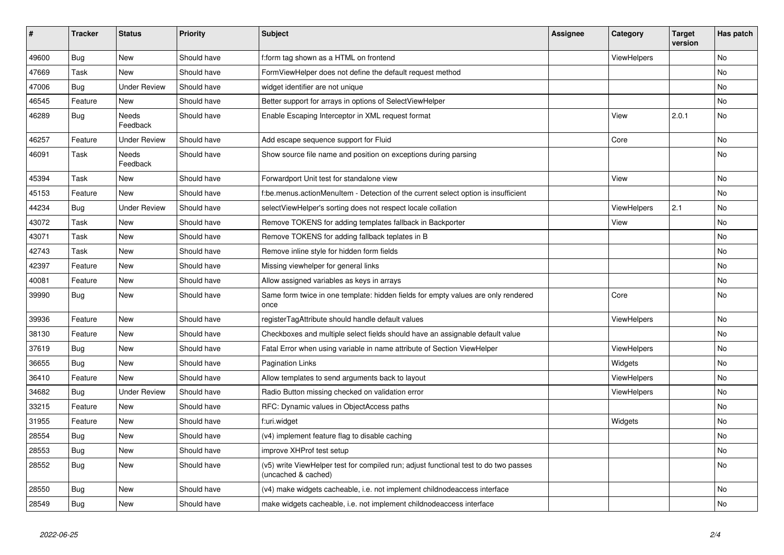| $\vert$ # | <b>Tracker</b> | <b>Status</b>            | <b>Priority</b> | <b>Subject</b>                                                                                              | <b>Assignee</b> | Category           | <b>Target</b><br>version | Has patch |
|-----------|----------------|--------------------------|-----------------|-------------------------------------------------------------------------------------------------------------|-----------------|--------------------|--------------------------|-----------|
| 49600     | <b>Bug</b>     | <b>New</b>               | Should have     | f:form tag shown as a HTML on frontend                                                                      |                 | <b>ViewHelpers</b> |                          | <b>No</b> |
| 47669     | Task           | New                      | Should have     | FormViewHelper does not define the default request method                                                   |                 |                    |                          | <b>No</b> |
| 47006     | <b>Bug</b>     | <b>Under Review</b>      | Should have     | widget identifier are not unique                                                                            |                 |                    |                          | No        |
| 46545     | Feature        | New                      | Should have     | Better support for arrays in options of SelectViewHelper                                                    |                 |                    |                          | No        |
| 46289     | Bug            | <b>Needs</b><br>Feedback | Should have     | Enable Escaping Interceptor in XML request format                                                           |                 | View               | 2.0.1                    | <b>No</b> |
| 46257     | Feature        | <b>Under Review</b>      | Should have     | Add escape sequence support for Fluid                                                                       |                 | Core               |                          | No        |
| 46091     | Task           | Needs<br>Feedback        | Should have     | Show source file name and position on exceptions during parsing                                             |                 |                    |                          | <b>No</b> |
| 45394     | Task           | New                      | Should have     | Forwardport Unit test for standalone view                                                                   |                 | View               |                          | No        |
| 45153     | Feature        | <b>New</b>               | Should have     | f:be.menus.actionMenuItem - Detection of the current select option is insufficient                          |                 |                    |                          | <b>No</b> |
| 44234     | Bug            | <b>Under Review</b>      | Should have     | selectViewHelper's sorting does not respect locale collation                                                |                 | <b>ViewHelpers</b> | 2.1                      | <b>No</b> |
| 43072     | Task           | New                      | Should have     | Remove TOKENS for adding templates fallback in Backporter                                                   |                 | View               |                          | No        |
| 43071     | Task           | New                      | Should have     | Remove TOKENS for adding fallback teplates in B                                                             |                 |                    |                          | No        |
| 42743     | Task           | <b>New</b>               | Should have     | Remove inline style for hidden form fields                                                                  |                 |                    |                          | No        |
| 42397     | Feature        | New                      | Should have     | Missing viewhelper for general links                                                                        |                 |                    |                          | No        |
| 40081     | Feature        | New                      | Should have     | Allow assigned variables as keys in arrays                                                                  |                 |                    |                          | No        |
| 39990     | Bug            | New                      | Should have     | Same form twice in one template: hidden fields for empty values are only rendered<br>once                   |                 | Core               |                          | <b>No</b> |
| 39936     | Feature        | New                      | Should have     | registerTagAttribute should handle default values                                                           |                 | ViewHelpers        |                          | No        |
| 38130     | Feature        | <b>New</b>               | Should have     | Checkboxes and multiple select fields should have an assignable default value                               |                 |                    |                          | <b>No</b> |
| 37619     | Bug            | <b>New</b>               | Should have     | Fatal Error when using variable in name attribute of Section ViewHelper                                     |                 | <b>ViewHelpers</b> |                          | No        |
| 36655     | Bug            | <b>New</b>               | Should have     | Pagination Links                                                                                            |                 | Widgets            |                          | <b>No</b> |
| 36410     | Feature        | <b>New</b>               | Should have     | Allow templates to send arguments back to layout                                                            |                 | <b>ViewHelpers</b> |                          | No        |
| 34682     | <b>Bug</b>     | <b>Under Review</b>      | Should have     | Radio Button missing checked on validation error                                                            |                 | <b>ViewHelpers</b> |                          | <b>No</b> |
| 33215     | Feature        | <b>New</b>               | Should have     | RFC: Dynamic values in ObjectAccess paths                                                                   |                 |                    |                          | No        |
| 31955     | Feature        | New                      | Should have     | f:uri.widget                                                                                                |                 | Widgets            |                          | No        |
| 28554     | Bug            | New                      | Should have     | (v4) implement feature flag to disable caching                                                              |                 |                    |                          | <b>No</b> |
| 28553     | <b>Bug</b>     | New                      | Should have     | improve XHProf test setup                                                                                   |                 |                    |                          | <b>No</b> |
| 28552     | Bug            | <b>New</b>               | Should have     | (v5) write ViewHelper test for compiled run; adjust functional test to do two passes<br>(uncached & cached) |                 |                    |                          | <b>No</b> |
| 28550     | <b>Bug</b>     | New                      | Should have     | (v4) make widgets cacheable, i.e. not implement childnodeaccess interface                                   |                 |                    |                          | <b>No</b> |
| 28549     | Bug            | <b>New</b>               | Should have     | make widgets cacheable, i.e. not implement childnodeaccess interface                                        |                 |                    |                          | <b>No</b> |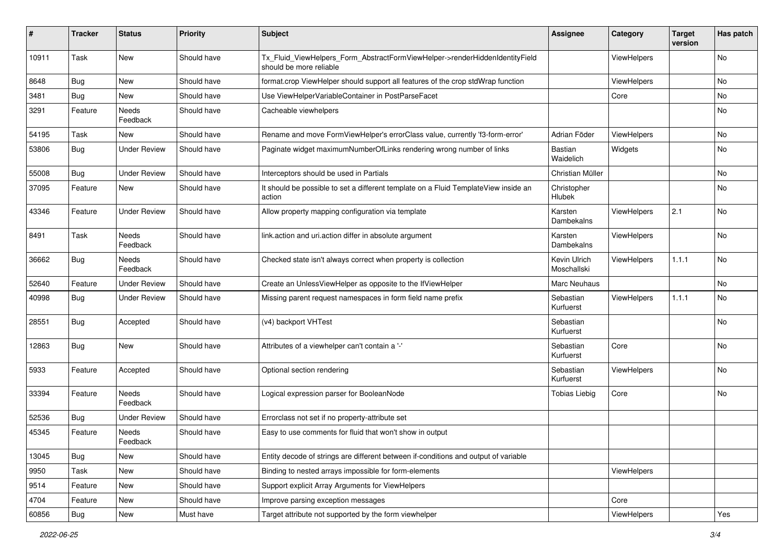| ∦     | <b>Tracker</b> | <b>Status</b>            | <b>Priority</b> | <b>Subject</b>                                                                                         | <b>Assignee</b>             | Category    | <b>Target</b><br>version | Has patch |
|-------|----------------|--------------------------|-----------------|--------------------------------------------------------------------------------------------------------|-----------------------------|-------------|--------------------------|-----------|
| 10911 | Task           | New                      | Should have     | Tx_Fluid_ViewHelpers_Form_AbstractFormViewHelper->renderHiddenIdentityField<br>should be more reliable |                             | ViewHelpers |                          | No        |
| 8648  | Bug            | New                      | Should have     | format.crop ViewHelper should support all features of the crop stdWrap function                        |                             | ViewHelpers |                          | No        |
| 3481  | <b>Bug</b>     | New                      | Should have     | Use ViewHelperVariableContainer in PostParseFacet                                                      |                             | Core        |                          | <b>No</b> |
| 3291  | Feature        | Needs<br>Feedback        | Should have     | Cacheable viewhelpers                                                                                  |                             |             |                          | No        |
| 54195 | Task           | New                      | Should have     | Rename and move FormViewHelper's errorClass value, currently 'f3-form-error'                           | Adrian Föder                | ViewHelpers |                          | No        |
| 53806 | Bug            | <b>Under Review</b>      | Should have     | Paginate widget maximumNumberOfLinks rendering wrong number of links                                   | Bastian<br>Waidelich        | Widgets     |                          | No        |
| 55008 | Bug            | <b>Under Review</b>      | Should have     | Interceptors should be used in Partials                                                                | Christian Müller            |             |                          | No        |
| 37095 | Feature        | New                      | Should have     | It should be possible to set a different template on a Fluid TemplateView inside an<br>action          | Christopher<br>Hlubek       |             |                          | No        |
| 43346 | Feature        | <b>Under Review</b>      | Should have     | Allow property mapping configuration via template                                                      | Karsten<br>Dambekalns       | ViewHelpers | 2.1                      | <b>No</b> |
| 8491  | Task           | <b>Needs</b><br>Feedback | Should have     | link.action and uri.action differ in absolute argument                                                 | Karsten<br>Dambekalns       | ViewHelpers |                          | <b>No</b> |
| 36662 | Bug            | <b>Needs</b><br>Feedback | Should have     | Checked state isn't always correct when property is collection                                         | Kevin Ulrich<br>Moschallski | ViewHelpers | 1.1.1                    | No        |
| 52640 | Feature        | <b>Under Review</b>      | Should have     | Create an UnlessViewHelper as opposite to the IfViewHelper                                             | Marc Neuhaus                |             |                          | No        |
| 40998 | Bug            | <b>Under Review</b>      | Should have     | Missing parent request namespaces in form field name prefix                                            | Sebastian<br>Kurfuerst      | ViewHelpers | 1.1.1                    | No        |
| 28551 | Bug            | Accepted                 | Should have     | (v4) backport VHTest                                                                                   | Sebastian<br>Kurfuerst      |             |                          | No        |
| 12863 | <b>Bug</b>     | <b>New</b>               | Should have     | Attributes of a viewhelper can't contain a '-'                                                         | Sebastian<br>Kurfuerst      | Core        |                          | No        |
| 5933  | Feature        | Accepted                 | Should have     | Optional section rendering                                                                             | Sebastian<br>Kurfuerst      | ViewHelpers |                          | <b>No</b> |
| 33394 | Feature        | <b>Needs</b><br>Feedback | Should have     | Logical expression parser for BooleanNode                                                              | <b>Tobias Liebig</b>        | Core        |                          | No        |
| 52536 | Bug            | <b>Under Review</b>      | Should have     | Errorclass not set if no property-attribute set                                                        |                             |             |                          |           |
| 45345 | Feature        | <b>Needs</b><br>Feedback | Should have     | Easy to use comments for fluid that won't show in output                                               |                             |             |                          |           |
| 13045 | <b>Bug</b>     | New                      | Should have     | Entity decode of strings are different between if-conditions and output of variable                    |                             |             |                          |           |
| 9950  | Task           | New                      | Should have     | Binding to nested arrays impossible for form-elements                                                  |                             | ViewHelpers |                          |           |
| 9514  | Feature        | New                      | Should have     | Support explicit Array Arguments for ViewHelpers                                                       |                             |             |                          |           |
| 4704  | Feature        | New                      | Should have     | Improve parsing exception messages                                                                     |                             | Core        |                          |           |
| 60856 | Bug            | New                      | Must have       | Target attribute not supported by the form viewhelper                                                  |                             | ViewHelpers |                          | Yes       |